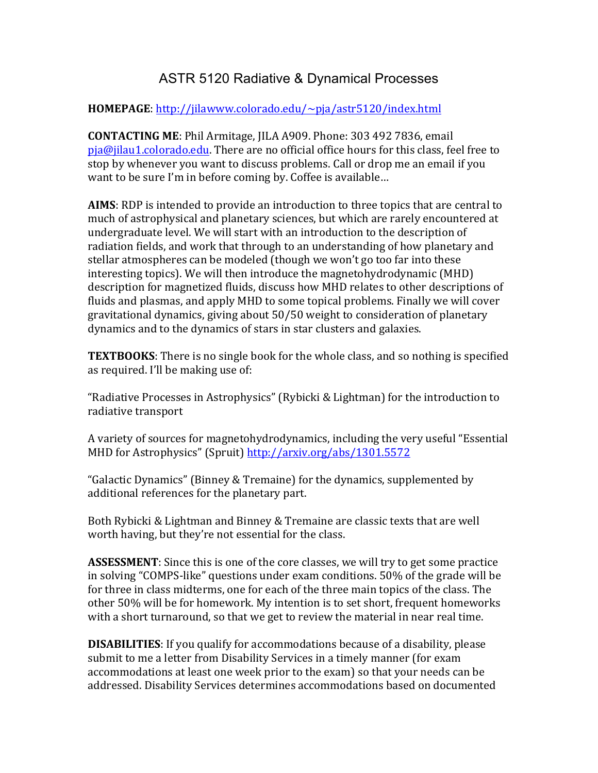## ASTR 5120 Radiative & Dynamical Processes

## **HOMEPAGE**: http://jilawww.colorado.edu/~pja/astr5120/index.html

**CONTACTING ME:** Phil Armitage, IILA A909. Phone: 303 492 7836. email  $pja@jilau1.colorado.edu. There are no official office hours for this class, feel free to$ stop by whenever you want to discuss problems. Call or drop me an email if you want to be sure I'm in before coming by. Coffee is available...

**AIMS**: RDP is intended to provide an introduction to three topics that are central to much of astrophysical and planetary sciences, but which are rarely encountered at undergraduate level. We will start with an introduction to the description of radiation fields, and work that through to an understanding of how planetary and stellar atmospheres can be modeled (though we won't go too far into these interesting topics). We will then introduce the magnetohydrodynamic (MHD) description for magnetized fluids, discuss how MHD relates to other descriptions of fluids and plasmas, and apply MHD to some topical problems. Finally we will cover gravitational dynamics, giving about 50/50 weight to consideration of planetary dynamics and to the dynamics of stars in star clusters and galaxies.

**TEXTBOOKS:** There is no single book for the whole class, and so nothing is specified as required. I'll be making use of:

"Radiative Processes in Astrophysics" (Rybicki & Lightman) for the introduction to radiative transport

A variety of sources for magnetohydrodynamics, including the very useful "Essential" MHD for Astrophysics" (Spruit) http://arxiv.org/abs/1301.5572

"Galactic Dynamics" (Binney & Tremaine) for the dynamics, supplemented by additional references for the planetary part.

Both Rybicki & Lightman and Binney & Tremaine are classic texts that are well worth having, but they're not essential for the class.

**ASSESSMENT**: Since this is one of the core classes, we will try to get some practice in solving "COMPS-like" questions under exam conditions. 50% of the grade will be for three in class midterms, one for each of the three main topics of the class. The other 50% will be for homework. My intention is to set short, frequent homeworks with a short turnaround, so that we get to review the material in near real time.

**DISABILITIES:** If you qualify for accommodations because of a disability, please submit to me a letter from Disability Services in a timely manner (for exam accommodations at least one week prior to the exam) so that your needs can be addressed. Disability Services determines accommodations based on documented